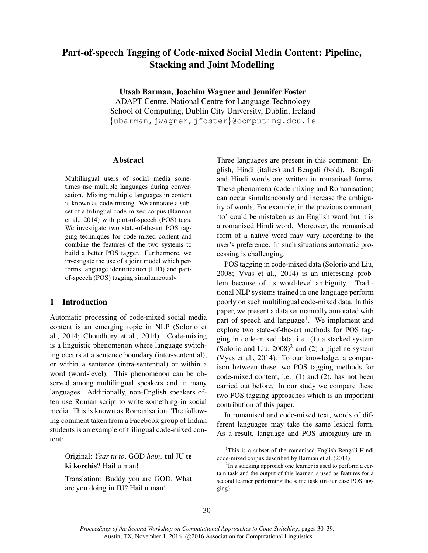# Part-of-speech Tagging of Code-mixed Social Media Content: Pipeline, Stacking and Joint Modelling

Utsab Barman, Joachim Wagner and Jennifer Foster

ADAPT Centre, National Centre for Language Technology School of Computing, Dublin City University, Dublin, Ireland {ubarman,jwagner,jfoster}@computing.dcu.ie

# Abstract

Multilingual users of social media sometimes use multiple languages during conversation. Mixing multiple languages in content is known as code-mixing. We annotate a subset of a trilingual code-mixed corpus (Barman et al., 2014) with part-of-speech (POS) tags. We investigate two state-of-the-art POS tagging techniques for code-mixed content and combine the features of the two systems to build a better POS tagger. Furthermore, we investigate the use of a joint model which performs language identification (LID) and partof-speech (POS) tagging simultaneously.

# 1 Introduction

Automatic processing of code-mixed social media content is an emerging topic in NLP (Solorio et al., 2014; Choudhury et al., 2014). Code-mixing is a linguistic phenomenon where language switching occurs at a sentence boundary (inter-sentential), or within a sentence (intra-sentential) or within a word (word-level). This phenomenon can be observed among multilingual speakers and in many languages. Additionally, non-English speakers often use Roman script to write something in social media. This is known as Romanisation. The following comment taken from a Facebook group of Indian students is an example of trilingual code-mixed content:

Original: *Yaar tu to*, GOD *hain*. tui JU te ki korchis? Hail u man!

Translation: Buddy you are GOD. What are you doing in JU? Hail u man!

Three languages are present in this comment: English, Hindi (italics) and Bengali (bold). Bengali and Hindi words are written in romanised forms. These phenomena (code-mixing and Romanisation) can occur simultaneously and increase the ambiguity of words. For example, in the previous comment, 'to' could be mistaken as an English word but it is a romanised Hindi word. Moreover, the romanised form of a native word may vary according to the user's preference. In such situations automatic processing is challenging.

POS tagging in code-mixed data (Solorio and Liu, 2008; Vyas et al., 2014) is an interesting problem because of its word-level ambiguity. Traditional NLP systems trained in one language perform poorly on such multilingual code-mixed data. In this paper, we present a data set manually annotated with part of speech and language<sup>1</sup>. We implement and explore two state-of-the-art methods for POS tagging in code-mixed data, i.e. (1) a stacked system (Solorio and Liu,  $2008$ )<sup>2</sup> and (2) a pipeline system (Vyas et al., 2014). To our knowledge, a comparison between these two POS tagging methods for code-mixed content, i.e. (1) and (2), has not been carried out before. In our study we compare these two POS tagging approaches which is an important contribution of this paper.

In romanised and code-mixed text, words of different languages may take the same lexical form. As a result, language and POS ambiguity are in-

<sup>&</sup>lt;sup>1</sup>This is a subset of the romanised English-Bengali-Hindi code-mixed corpus described by Barman et al. (2014).

 $2$ In a stacking approach one learner is used to perform a certain task and the output of this learner is used as features for a second learner performing the same task (in our case POS tagging).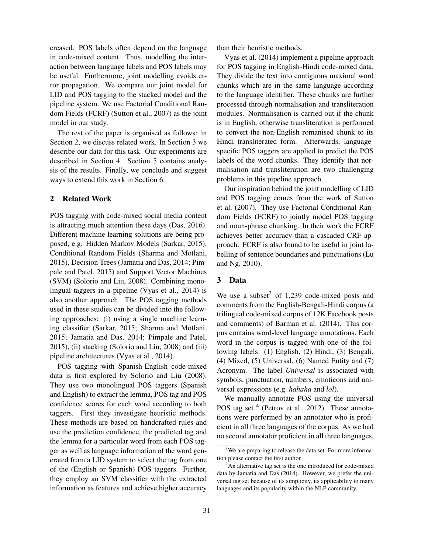creased. POS labels often depend on the language in code-mixed content. Thus, modelling the interaction between language labels and POS labels may be useful. Furthermore, joint modelling avoids error propagation. We compare our joint model for LID and POS tagging to the stacked model and the pipeline system. We use Factorial Conditional Random Fields (FCRF) (Sutton et al., 2007) as the joint model in our study.

The rest of the paper is organised as follows: in Section 2, we discuss related work. In Section 3 we describe our data for this task. Our experiments are described in Section 4. Section 5 contains analysis of the results. Finally, we conclude and suggest ways to extend this work in Section 6.

# 2 Related Work

POS tagging with code-mixed social media content is attracting much attention these days (Das, 2016). Different machine learning solutions are being proposed, e.g. Hidden Markov Models (Sarkar, 2015), Conditional Random Fields (Sharma and Motlani, 2015), Decision Trees (Jamatia and Das, 2014; Pimpale and Patel, 2015) and Support Vector Machines (SVM) (Solorio and Liu, 2008). Combining monolingual taggers in a pipeline (Vyas et al., 2014) is also another approach. The POS tagging methods used in these studies can be divided into the following approaches: (i) using a single machine learning classifier (Sarkar, 2015; Sharma and Motlani, 2015; Jamatia and Das, 2014; Pimpale and Patel, 2015), (ii) stacking (Solorio and Liu, 2008) and (iii) pipeline architectures (Vyas et al., 2014).

POS tagging with Spanish-English code-mixed data is first explored by Solorio and Liu (2008). They use two monolingual POS taggers (Spanish and English) to extract the lemma, POS tag and POS confidence scores for each word according to both taggers. First they investigate heuristic methods. These methods are based on handcrafted rules and use the prediction confidence, the predicted tag and the lemma for a particular word from each POS tagger as well as language information of the word generated from a LID system to select the tag from one of the (English or Spanish) POS taggers. Further, they employ an SVM classifier with the extracted information as features and achieve higher accuracy

than their heuristic methods.

Vyas et al. (2014) implement a pipeline approach for POS tagging in English-Hindi code-mixed data. They divide the text into contiguous maximal word chunks which are in the same language according to the language identifier. These chunks are further processed through normalisation and transliteration modules. Normalisation is carried out if the chunk is in English, otherwise transliteration is performed to convert the non-English romanised chunk to its Hindi transliterated form. Afterwards, languagespecific POS taggers are applied to predict the POS labels of the word chunks. They identify that normalisation and transliteration are two challenging problems in this pipeline approach.

Our inspiration behind the joint modelling of LID and POS tagging comes from the work of Sutton et al. (2007). They use Factorial Conditional Random Fields (FCRF) to jointly model POS tagging and noun-phrase chunking. In their work the FCRF achieves better accuracy than a cascaded CRF approach. FCRF is also found to be useful in joint labelling of sentence boundaries and punctuations (Lu and Ng, 2010).

# 3 Data

We use a subset<sup>3</sup> of 1,239 code-mixed posts and comments from the English-Bengali-Hindi corpus (a trilingual code-mixed corpus of 12K Facebook posts and comments) of Barman et al. (2014). This corpus contains word-level language annotations. Each word in the corpus is tagged with one of the following labels: (1) English, (2) Hindi, (3) Bengali, (4) Mixed, (5) Universal, (6) Named Entity and (7) Acronym. The label *Universal* is associated with symbols, punctuation, numbers, emoticons and universal expressions (e.g. *hahaha* and *lol*).

We manually annotate POS using the universal POS tag set  $<sup>4</sup>$  (Petrov et al., 2012). These annota-</sup> tions were performed by an annotator who is proficient in all three languages of the corpus. As we had no second annotator proficient in all three languages,

<sup>&</sup>lt;sup>3</sup>We are preparing to release the data set. For more information please contact the first author.

<sup>&</sup>lt;sup>4</sup>An alternative tag set is the one introduced for code-mixed data by Jamatia and Das (2014). However, we prefer the universal tag set because of its simplicity, its applicability to many languages and its popularity within the NLP community.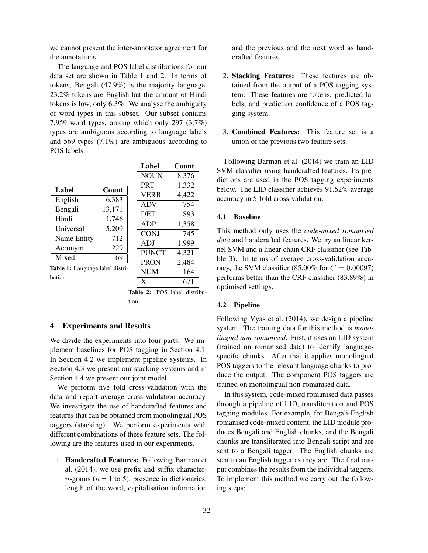we cannot present the inter-annotator agreement for the annotations.

The language and POS label distributions for our data set are shown in Table 1 and 2. In terms of tokens, Bengali (47.9%) is the majority language. 23.2% tokens are English but the amount of Hindi tokens is low, only 6.3%. We analyse the ambiguity of word types in this subset. Our subset contains 7,959 word types, among which only 297 (3.7%) types are ambiguous according to language labels and 569 types (7.1%) are ambiguous according to POS labels.

| Label       | Count  |
|-------------|--------|
| English     | 6,383  |
| Bengali     | 13,171 |
| Hindi       | 1,746  |
| Universal   | 5,209  |
| Name Entity | 712    |
| Acronym     | 229    |
| Mixed       |        |

| пансі        |       |
|--------------|-------|
| <b>NOUN</b>  | 8,376 |
| <b>PRT</b>   | 1,332 |
| <b>VERB</b>  | 4,422 |
| <b>ADV</b>   | 754   |
| DET          | 893   |
| ADP          | 1,358 |
| <b>CONJ</b>  | 745   |
| ADJ          | 1,999 |
| <b>PUNCT</b> | 4,321 |
| <b>PRON</b>  | 2,484 |
| <b>NUM</b>   | 164   |
| X            | 671   |

Label Count

Table 1: Language label distribution.

Table 2: POS label distribution.

# 4 Experiments and Results

We divide the experiments into four parts. We implement baselines for POS tagging in Section 4.1. In Section 4.2 we implement pipeline systems. In Section 4.3 we present our stacking systems and in Section 4.4 we present our joint model.

We perform five fold cross-validation with the data and report average cross-validation accuracy. We investigate the use of handcrafted features and features that can be obtained from monolingual POS taggers (stacking). We perform experiments with different combinations of these feature sets. The following are the features used in our experiments.

1. Handcrafted Features: Following Barman et al. (2014), we use prefix and suffix character $n$ -grams ( $n = 1$  to 5), presence in dictionaries, length of the word, capitalisation information

and the previous and the next word as handcrafted features.

- 2. Stacking Features: These features are obtained from the output of a POS tagging system. These features are tokens, predicted labels, and prediction confidence of a POS tagging system.
- 3. Combined Features: This feature set is a union of the previous two feature sets.

Following Barman et al. (2014) we train an LID SVM classifier using handcrafted features. Its predictions are used in the POS tagging experiments below. The LID classifier achieves 91.52% average accuracy in 5-fold cross-validation.

## 4.1 Baseline

This method only uses the *code-mixed romanised data* and handcrafted features. We try an linear kernel SVM and a linear chain CRF classifier (see Tabble 3). In terms of average cross-validation accuracy, the SVM classifier (85.00% for  $C = 0.00097$ ) performs better than the CRF classifier (83.89%) in optimised settings.

# 4.2 Pipeline

Following Vyas et al. (2014), we design a pipeline system. The training data for this method is *monolingual non-romanised*. First, it uses an LID system (trained on romanised data) to identify languagespecific chunks. After that it applies monolingual POS taggers to the relevant language chunks to produce the output. The component POS taggers are trained on monolingual non-romanised data.

In this system, code-mixed romanised data passes through a pipeline of LID, transliteration and POS tagging modules. For example, for Bengali-English romanised code-mixed content, the LID module produces Bengali and English chunks, and the Bengali chunks are transliterated into Bengali script and are sent to a Bengali tagger. The English chunks are sent to an English tagger as they are. The final output combines the results from the individual taggers. To implement this method we carry out the following steps: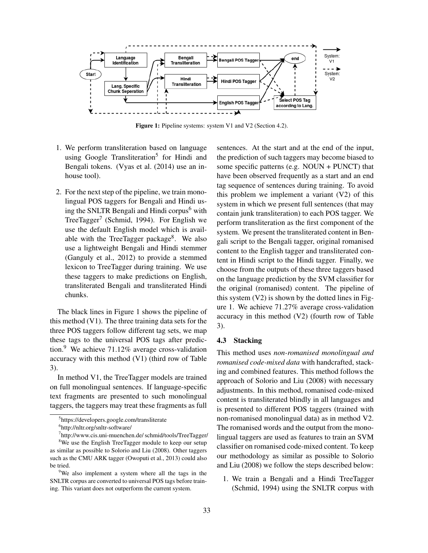

Figure 1: Pipeline systems: system V1 and V2 (Section 4.2).

- 1. We perform transliteration based on language using Google Transliteration<sup>5</sup> for Hindi and Bengali tokens. (Vyas et al. (2014) use an inhouse tool).
- 2. For the next step of the pipeline, we train monolingual POS taggers for Bengali and Hindi using the SNLTR Bengali and Hindi corpus $<sup>6</sup>$  with</sup> TreeTagger<sup>7</sup> (Schmid, 1994). For English we use the default English model which is available with the TreeTagger package<sup>8</sup>. We also use a lightweight Bengali and Hindi stemmer (Ganguly et al., 2012) to provide a stemmed lexicon to TreeTagger during training. We use these taggers to make predictions on English, transliterated Bengali and transliterated Hindi chunks.

The black lines in Figure 1 shows the pipeline of this method (V1). The three training data sets for the three POS taggers follow different tag sets, we map these tags to the universal POS tags after prediction.<sup>9</sup> We achieve 71.12% average cross-validation accuracy with this method (V1) (third row of Table 3).

In method V1, the TreeTagger models are trained on full monolingual sentences. If language-specific text fragments are presented to such monolingual taggers, the taggers may treat these fragments as full sentences. At the start and at the end of the input, the prediction of such taggers may become biased to some specific patterns (e.g. NOUN + PUNCT) that have been observed frequently as a start and an end tag sequence of sentences during training. To avoid this problem we implement a variant (V2) of this system in which we present full sentences (that may contain junk transliteration) to each POS tagger. We perform transliteration as the first component of the system. We present the transliterated content in Bengali script to the Bengali tagger, original romanised content to the English tagger and transliterated content in Hindi script to the Hindi tagger. Finally, we choose from the outputs of these three taggers based on the language prediction by the SVM classifier for the original (romanised) content. The pipeline of this system (V2) is shown by the dotted lines in Figure 1. We achieve 71.27% average cross-validation accuracy in this method (V2) (fourth row of Table 3).

#### 4.3 Stacking

This method uses *non-romanised monolingual and romanised code-mixed data* with handcrafted, stacking and combined features. This method follows the approach of Solorio and Liu (2008) with necessary adjustments. In this method, romanised code-mixed content is transliterated blindly in all languages and is presented to different POS taggers (trained with non-romanised monolingual data) as in method V2. The romanised words and the output from the monolingual taggers are used as features to train an SVM classifier on romanised code-mixed content. To keep our methodology as similar as possible to Solorio and Liu (2008) we follow the steps described below:

1. We train a Bengali and a Hindi TreeTagger (Schmid, 1994) using the SNLTR corpus with

<sup>5</sup> https://developers.google.com/transliterate

<sup>6</sup> http://nltr.org/snltr-software/

<sup>7</sup> http://www.cis.uni-muenchen.de/ schmid/tools/TreeTagger/ <sup>8</sup>We use the English TreeTagger module to keep our setup as similar as possible to Solorio and Liu (2008). Other taggers such as the CMU ARK tagger (Owoputi et al., 2013) could also be tried.

<sup>&</sup>lt;sup>9</sup>We also implement a system where all the tags in the SNLTR corpus are converted to universal POS tags before training. This variant does not outperform the current system.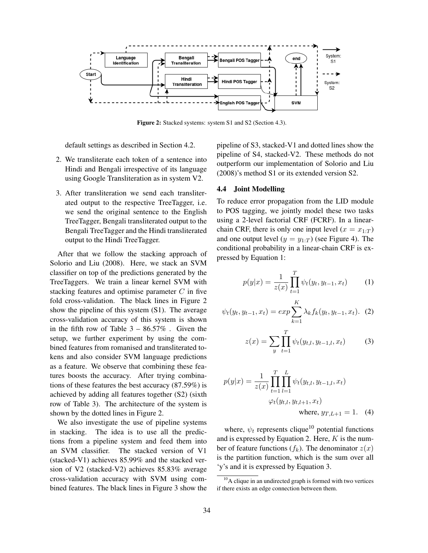

Figure 2: Stacked systems: system S1 and S2 (Section 4.3).

default settings as described in Section 4.2.

- 2. We transliterate each token of a sentence into Hindi and Bengali irrespective of its language using Google Transliteration as in system V2.
- 3. After transliteration we send each transliterated output to the respective TreeTagger, i.e. we send the original sentence to the English TreeTagger, Bengali transliterated output to the Bengali TreeTagger and the Hindi transliterated output to the Hindi TreeTagger.

After that we follow the stacking approach of Solorio and Liu (2008). Here, we stack an SVM classifier on top of the predictions generated by the TreeTaggers. We train a linear kernel SVM with stacking features and optimise parameter  $C$  in five fold cross-validation. The black lines in Figure 2 show the pipeline of this system (S1). The average cross-validation accuracy of this system is shown in the fifth row of Table  $3 - 86.57\%$ . Given the setup, we further experiment by using the combined features from romanised and transliterated tokens and also consider SVM language predictions as a feature. We observe that combining these features boosts the accuracy. After trying combinations of these features the best accuracy (87.59%) is achieved by adding all features together (S2) (sixth row of Table 3). The architecture of the system is shown by the dotted lines in Figure 2.

We also investigate the use of pipeline systems in stacking. The idea is to use all the predictions from a pipeline system and feed them into an SVM classifier. The stacked version of V1 (stacked-V1) achieves 85.99% and the stacked version of V2 (stacked-V2) achieves 85.83% average cross-validation accuracy with SVM using combined features. The black lines in Figure 3 show the pipeline of S3, stacked-V1 and dotted lines show the pipeline of S4, stacked-V2. These methods do not outperform our implementation of Solorio and Liu (2008)'s method S1 or its extended version S2.

#### 4.4 Joint Modelling

To reduce error propagation from the LID module to POS tagging, we jointly model these two tasks using a 2-level factorial CRF (FCRF). In a linearchain CRF, there is only one input level  $(x = x_{1:T})$ and one output level  $(y = y_{1:T})$  (see Figure 4). The conditional probability in a linear-chain CRF is expressed by Equation 1:

$$
p(y|x) = \frac{1}{z(x)} \prod_{t=1}^{T} \psi_t(y_t, y_{t-1}, x_t)
$$
 (1)

$$
\psi_t(y_t, y_{t-1}, x_t) = exp \sum_{k=1}^K \lambda_k f_k(y_t, y_{t-1}, x_t). \tag{2}
$$

$$
z(x) = \sum_{y} \prod_{t=1}^{T} \psi_t(y_{t,l}, y_{t-1,l}, x_t)
$$
 (3)

$$
p(y|x) = \frac{1}{z(x)} \prod_{t=1}^{T} \prod_{l=1}^{L} \psi_t(y_{t,l}, y_{t-1,l}, x_t)
$$

$$
\varphi_t(y_{t,l}, y_{t,l+1}, x_t)
$$
where,  $y_{T,L+1} = 1$ . (4)

where,  $\psi_t$  represents clique<sup>10</sup> potential functions and is expressed by Equation 2. Here,  $K$  is the number of feature functions  $(f_k)$ . The denominator  $z(x)$ is the partition function, which is the sum over all 'y's and it is expressed by Equation 3.

 $10$ A clique in an undirected graph is formed with two vertices if there exists an edge connection between them.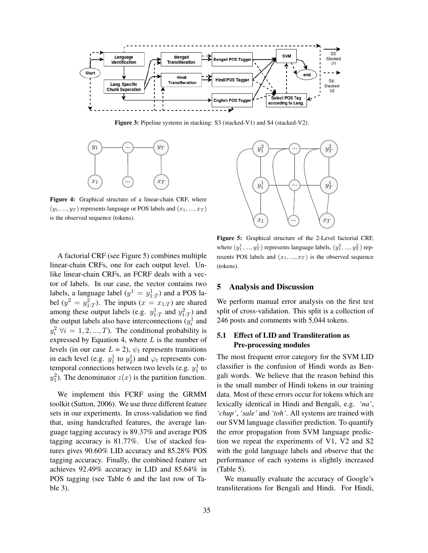

Figure 3: Pipeline systems in stacking: S3 (stacked-V1) and S4 (stacked-V2).



Figure 4: Graphical structure of a linear-chain CRF, where  $(y_1, ..., y_T)$  represents language or POS labels and  $(x_1, ..., x_T)$ is the observed sequence (tokens).

A factorial CRF (see Figure 5) combines multiple linear-chain CRFs, one for each output level. Unlike linear-chain CRFs, an FCRF deals with a vector of labels. In our case, the vector contains two labels, a language label  $(y^1 = y_{1:T}^1)$  and a POS label  $(y^2 = y_{1:T}^2)$ . The inputs  $(x = x_{1:T})$  are shared among these output labels (e.g.  $y_{1:T}^1$  and  $y_{1:T}^2$ ) and the output labels also have interconnections  $(y_i^1$  and  $y_i^2 \forall i = 1, 2, ..., T$ . The conditional probability is expressed by Equation 4, where  $L$  is the number of levels (in our case  $L = 2$ ),  $\psi_t$  represents transitions in each level (e.g.  $y_1^1$  to  $y_2^1$ ) and  $\varphi_t$  represents contemporal connections between two levels (e.g.  $y_1^1$  to  $y_1^2$ ). The denominator  $z(x)$  is the partition function.

We implement this FCRF using the GRMM toolkit (Sutton, 2006). We use three different feature sets in our experiments. In cross-validation we find that, using handcrafted features, the average language tagging accuracy is 89.37% and average POS tagging accuracy is 81.77%. Use of stacked features gives 90.60% LID accuracy and 85.28% POS tagging accuracy. Finally, the combined feature set achieves 92.49% accuracy in LID and 85.64% in POS tagging (see Table 6 and the last row of Table 3).



Figure 5: Graphical structure of the 2-Level factorial CRF, where  $(y_1^1, ..., y_T^1)$  represents language labels,  $(y_1^2, ..., y_T^2)$  represents POS labels and  $(x_1, ..., x_T)$  is the observed sequence (tokens).

## 5 Analysis and Discussion

We perform manual error analysis on the first test split of cross-validation. This split is a collection of 246 posts and comments with 5,044 tokens.

# 5.1 Effect of LID and Transliteration as Pre-processing modules

The most frequent error category for the SVM LID classifier is the confusion of Hindi words as Bengali words. We believe that the reason behind this is the small number of Hindi tokens in our training data. Most of these errors occur for tokens which are lexically identical in Hindi and Bengali, e.g. *'na'*, *'chup'*, *'sale'* and *'toh'*. All systems are trained with our SVM language classifier prediction. To quantify the error propagation from SVM language prediction we repeat the experiments of V1, V2 and S2 with the gold language labels and observe that the performance of each systems is slightly increased (Table 5).

We manually evaluate the accuracy of Google's transliterations for Bengali and Hindi. For Hindi,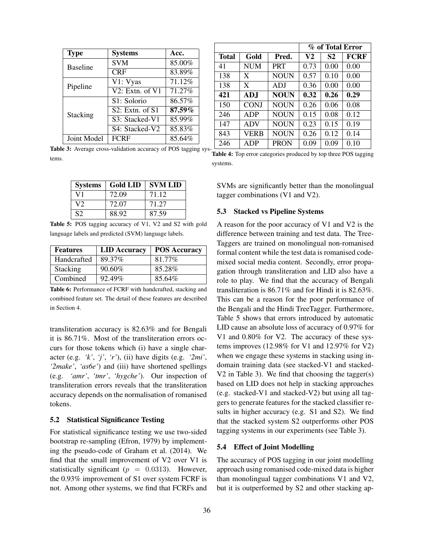| <b>Type</b>     | <b>Systems</b>           | Acc.   |
|-----------------|--------------------------|--------|
| <b>Baseline</b> | <b>SVM</b>               | 85.00% |
|                 | CRF                      | 83.89% |
| Pipeline        | V1: Vyas                 | 71.12% |
|                 | $V2$ : Extn. of $V1$     | 71.27% |
| Stacking        | S <sub>1</sub> : Solorio | 86.57% |
|                 | $S2:$ Extn. of S1        | 87.59% |
|                 | S3: Stacked-V1           | 85.99% |
|                 | S4: Stacked-V2           | 85.83% |
| Joint Model     | <b>FCRF</b>              | 85.64% |

% of Total Error Total Gold Pred.  $V2$  S2 FCRF 41 | NUM | PRT | 0.73 | 0.00 | 0.00 138 | X | NOUN |  $0.57$  |  $0.10$  |  $0.00$ 138 | X | ADJ | 0.36 | 0.00 | 0.00 421 | ADJ | NOUN |  $0.32$  |  $0.26$  |  $0.29$  $150$  CONJ NOUN 0.26 0.06 0.08 246 | ADP | NOUN |  $0.15$  |  $0.08$  |  $0.12$ 147 | ADV | NOUN | 0.23 | 0.15 | 0.19 843 | VERB | NOUN | 0.26 | 0.12 | 0.14 246 | ADP | PRON |  $0.09$  |  $0.09$  |  $0.10$ 

Table 3: Average cross-validation accuracy of POS tagging systems. Table 4: Top error categories produced by top three POS tagging

| <b>Systems</b> | <b>Gold LID</b> | <b>SVM LID</b> |
|----------------|-----------------|----------------|
| V1             | 72.09           | 71.12          |
| V2             | 72.07           | 71.27          |
| S <sub>2</sub> | 88.92           | 87.59          |

Table 5: POS tagging accuracy of V1, V2 and S2 with gold language labels and predicted (SVM) language labels.

| <b>Features</b> | <b>LID</b> Accuracy | <b>POS Accuracy</b> |
|-----------------|---------------------|---------------------|
| Handcrafted     | 89.37%              | 81.77%              |
| <b>Stacking</b> | $90.60\%$           | 85.28%              |
| Combined        | 92.49%              | 85.64%              |

Table 6: Performance of FCRF with handcrafted, stacking and combined feature set. The detail of these features are described in Section 4.

transliteration accuracy is 82.63% and for Bengali it is 86.71%. Most of the transliteration errors occurs for those tokens which (i) have a single character (e.g. *'k'*, *'j'*, *'r'*), (ii) have digits (e.g. *'2mi'*, *'2make'*, *'as6e'*) and (iii) have shortened spellings (e.g. *'amr'*, *'tmr'*, *'hygche'*). Our inspection of transliteration errors reveals that the transliteration accuracy depends on the normalisation of romanised tokens.

#### 5.2 Statistical Significance Testing

For statistical significance testing we use two-sided bootstrap re-sampling (Efron, 1979) by implementing the pseudo-code of Graham et al. (2014). We find that the small improvement of V2 over V1 is statistically significant ( $p = 0.0313$ ). However, the 0.93% improvement of S1 over system FCRF is not. Among other systems, we find that FCRFs and

systems.

SVMs are significantly better than the monolingual tagger combinations (V1 and V2).

## 5.3 Stacked vs Pipeline Systems

A reason for the poor accuracy of V1 and V2 is the difference between training and test data. The Tree-Taggers are trained on monolingual non-romanised formal content while the test data is romanised codemixed social media content. Secondly, error propagation through transliteration and LID also have a role to play. We find that the accuracy of Bengali transliteration is 86.71% and for Hindi it is 82.63%. This can be a reason for the poor performance of the Bengali and the Hindi TreeTagger. Furthermore, Table 5 shows that errors introduced by automatic LID cause an absolute loss of accuracy of 0.97% for V1 and 0.80% for V2. The accuracy of these systems improves (12.98% for V1 and 12.97% for V2) when we engage these systems in stacking using indomain training data (see stacked-V1 and stacked-V2 in Table 3). We find that choosing the tagger(s) based on LID does not help in stacking approaches (e.g. stacked-V1 and stacked-V2) but using all taggers to generate features for the stacked classifier results in higher accuracy (e.g. S1 and S2). We find that the stacked system S2 outperforms other POS tagging systems in our experiments (see Table 3).

#### 5.4 Effect of Joint Modelling

The accuracy of POS tagging in our joint modelling approach using romanised code-mixed data is higher than monolingual tagger combinations V1 and V2, but it is outperformed by S2 and other stacking ap-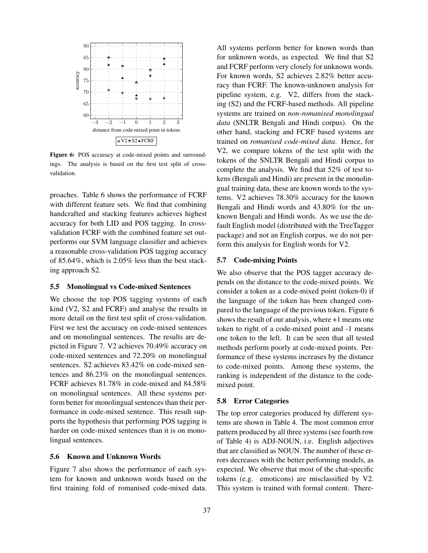

Figure 6: POS accuracy at code-mixed points and surroundings. The analysis is based on the first test split of crossvalidation.

proaches. Table 6 shows the performance of FCRF with different feature sets. We find that combining handcrafted and stacking features achieves highest accuracy for both LID and POS tagging. In crossvalidation FCRF with the combined feature set outperforms our SVM language classifier and achieves a reasonable cross-validation POS tagging accuracy of 85.64%, which is 2.05% less than the best stacking approach S2.

# 5.5 Monolingual vs Code-mixed Sentences

We choose the top POS tagging systems of each kind (V2, S2 and FCRF) and analyse the results in more detail on the first test split of cross-validation. First we test the accuracy on code-mixed sentences and on monolingual sentences. The results are depicted in Figure 7. V2 achieves 70.49% accuracy on code-mixed sentences and 72.20% on monolingual sentences. S2 achieves 83.42% on code-mixed sentences and 86.23% on the monolingual sentences. FCRF achieves 81.78% in code-mixed and 84.58% on monolingual sentences. All these systems perform better for monolingual sentences than their performance in code-mixed sentence. This result supports the hypothesis that performing POS tagging is harder on code-mixed sentences than it is on monolingual sentences.

## 5.6 Known and Unknown Words

Figure 7 also shows the performance of each system for known and unknown words based on the first training fold of romanised code-mixed data. All systems perform better for known words than for unknown words, as expected. We find that S2 and FCRF perform very closely for unknown words. For known words, S2 achieves 2.82% better accuracy than FCRF. The known-unknown analysis for pipeline system, e.g. V2, differs from the stacking (S2) and the FCRF-based methods. All pipeline systems are trained on *non-romanised monolingual data* (SNLTR Bengali and Hindi corpus). On the other hand, stacking and FCRF based systems are trained on *romanised code-mixed data*. Hence, for V2, we compare tokens of the test split with the tokens of the SNLTR Bengali and Hindi corpus to complete the analysis. We find that 52% of test tokens (Bengali and Hindi) are present in the monolingual training data, these are known words to the systems. V2 achieves 78.30% accuracy for the known Bengali and Hindi words and 43.80% for the unknown Bengali and Hindi words. As we use the default English model (distributed with the TreeTagger package) and not an English corpus, we do not perform this analysis for English words for V2.

## 5.7 Code-mixing Points

We also observe that the POS tagger accuracy depends on the distance to the code-mixed points. We consider a token as a code-mixed point (token-0) if the language of the token has been changed compared to the language of the previous token. Figure 6 shows the result of our analysis, where +1 means one token to right of a code-mixed point and -1 means one token to the left. It can be seen that all tested methods perform poorly at code-mixed points. Performance of these systems increases by the distance to code-mixed points. Among these systems, the ranking is independent of the distance to the codemixed point.

#### 5.8 Error Categories

The top error categories produced by different systems are shown in Table 4. The most common error pattern produced by all three systems (see fourth row of Table 4) is ADJ-NOUN, i.e. English adjectives that are classified as NOUN. The number of these errors decreases with the better performing models, as expected. We observe that most of the chat-specific tokens (e.g. emoticons) are misclassified by V2. This system is trained with formal content. There-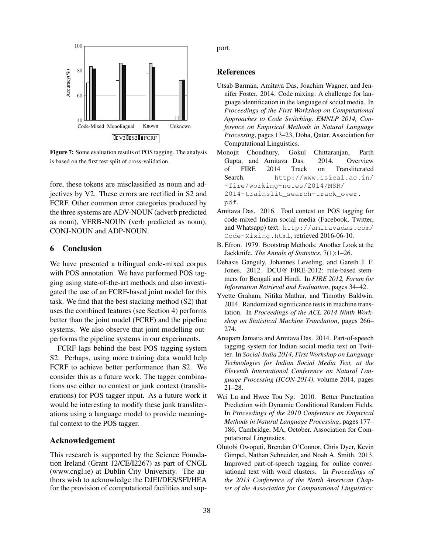

Figure 7: Some evaluation results of POS tagging. The analysis is based on the first test split of cross-validation.

fore, these tokens are misclassified as noun and adjectives by V2. These errors are rectified in S2 and FCRF. Other common error categories produced by the three systems are ADV-NOUN (adverb predicted as noun), VERB-NOUN (verb predicted as noun), CONJ-NOUN and ADP-NOUN.

# 6 Conclusion

We have presented a trilingual code-mixed corpus with POS annotation. We have performed POS tagging using state-of-the-art methods and also investigated the use of an FCRF-based joint model for this task. We find that the best stacking method (S2) that uses the combined features (see Section 4) performs better than the joint model (FCRF) and the pipeline systems. We also observe that joint modelling outperforms the pipeline systems in our experiments.

FCRF lags behind the best POS tagging system S2. Perhaps, using more training data would help FCRF to achieve better performance than S2. We consider this as a future work. The tagger combinations use either no context or junk context (transliterations) for POS tagger input. As a future work it would be interesting to modify these junk transliterations using a language model to provide meaningful context to the POS tagger.

# Acknowledgement

This research is supported by the Science Foundation Ireland (Grant 12/CE/I2267) as part of CNGL (www.cngl.ie) at Dublin City University. The authors wish to acknowledge the DJEI/DES/SFI/HEA for the provision of computational facilities and support.

## References

- Utsab Barman, Amitava Das, Joachim Wagner, and Jennifer Foster. 2014. Code mixing: A challenge for language identification in the language of social media. In *Proceedings of the First Workshop on Computational Approaches to Code Switching. EMNLP 2014, Conference on Empirical Methods in Natural Language Processing*, pages 13–23, Doha, Qatar. Association for Computational Linguistics.
- Monojit Choudhury, Gokul Chittaranjan, Parth Gupta, and Amitava Das. 2014. Overview of FIRE 2014 Track on Transliterated Search. http://www.isical.ac.in/ ˜fire/working-notes/2014/MSR/ 2014-trainslit\_search-track\_over. pdf.
- Amitava Das. 2016. Tool contest on POS tagging for code-mixed Indian social media (Facebook, Twitter, and Whatsapp) text. http://amitavadas.com/ Code-Mixing.html, retrieved 2016-06-10.
- B. Efron. 1979. Bootstrap Methods: Another Look at the Jackknife. *The Annals of Statistics*, 7(1):1–26.
- Debasis Ganguly, Johannes Leveling, and Gareth J. F. Jones. 2012. DCU@ FIRE-2012: rule-based stemmers for Bengali and Hindi. In *FIRE 2012, Forum for Information Retrieval and Evaluation*, pages 34–42.
- Yvette Graham, Nitika Mathur, and Timothy Baldwin. 2014. Randomized significance tests in machine translation. In *Proceedings of the ACL 2014 Ninth Workshop on Statistical Machine Translation*, pages 266– 274.
- Anupam Jamatia and Amitava Das. 2014. Part-of-speech tagging system for Indian social media text on Twitter. In *Social-India 2014, First Workshop on Language Technologies for Indian Social Media Text, at the Eleventh International Conference on Natural Language Processing (ICON-2014)*, volume 2014, pages 21–28.
- Wei Lu and Hwee Tou Ng. 2010. Better Punctuation Prediction with Dynamic Conditional Random Fields. In *Proceedings of the 2010 Conference on Empirical Methods in Natural Language Processing*, pages 177– 186, Cambridge, MA, October. Association for Computational Linguistics.
- Olutobi Owoputi, Brendan O'Connor, Chris Dyer, Kevin Gimpel, Nathan Schneider, and Noah A. Smith. 2013. Improved part-of-speech tagging for online conversational text with word clusters. In *Proceedings of the 2013 Conference of the North American Chapter of the Association for Computational Linguistics:*